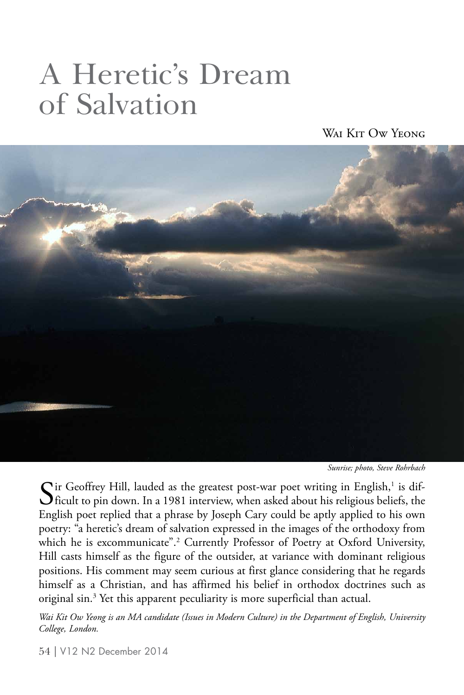# A Heretic's Dream of Salvation

WAI KIT OW YEONG



*Sunrise; photo, Steve Rohrbach*

 $\sum$  ir Geoffrey Hill, lauded as the greatest post-war poet writing in English,<sup>1</sup> is dif-<br>ficult to pin down. In a 1981 interview, when asked about his religious beliefs, the **O** ficult to pin down. In a 1981 interview, when asked about his religious beliefs, the English poet replied that a phrase by Joseph Cary could be aptly applied to his own poetry: "a heretic's dream of salvation expressed in the images of the orthodoxy from which he is excommunicate".<sup>2</sup> Currently Professor of Poetry at Oxford University, Hill casts himself as the figure of the outsider, at variance with dominant religious positions. His comment may seem curious at first glance considering that he regards himself as a Christian, and has affirmed his belief in orthodox doctrines such as original sin.<sup>3</sup> Yet this apparent peculiarity is more superficial than actual.

*Wai Kit Ow Yeong is an MA candidate (Issues in Modern Culture) in the Department of English, University College, London.*

54 | V12 N2 December 2014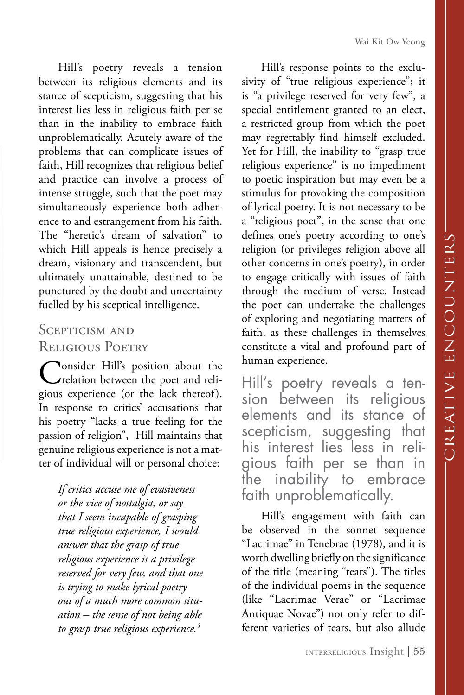Wai Kit Ow Yeong

Hill's poetry reveals a tension between its religious elements and its stance of scepticism, suggesting that his interest lies less in religious faith per se than in the inability to embrace faith unproblematically. Acutely aware of the problems that can complicate issues of faith, Hill recognizes that religious belief and practice can involve a process of intense struggle, such that the poet may simultaneously experience both adherence to and estrangement from his faith. The "heretic's dream of salvation" to which Hill appeals is hence precisely a dream, visionary and transcendent, but ultimately unattainable, destined to be punctured by the doubt and uncertainty fuelled by his sceptical intelligence.

## SCEPTICISM AND Religious Poetry

**Consider Hill's position about the** relation between the poet and religious experience (or the lack thereof). In response to critics' accusations that his poetry "lacks a true feeling for the passion of religion", Hill maintains that genuine religious experience is not a matter of individual will or personal choice:

*If critics accuse me of evasiveness or the vice of nostalgia, or say that I seem incapable of grasping true religious experience, I would answer that the grasp of true religious experience is a privilege reserved for very few, and that one is trying to make lyrical poetry out of a much more common situation – the sense of not being able to grasp true religious experience.5*

Hill's response points to the exclusivity of "true religious experience"; it is "a privilege reserved for very few", a special entitlement granted to an elect, a restricted group from which the poet may regrettably find himself excluded. Yet for Hill, the inability to "grasp true religious experience" is no impediment to poetic inspiration but may even be a stimulus for provoking the composition of lyrical poetry. It is not necessary to be a "religious poet", in the sense that one defines one's poetry according to one's religion (or privileges religion above all other concerns in one's poetry), in order to engage critically with issues of faith through the medium of verse. Instead the poet can undertake the challenges of exploring and negotiating matters of faith, as these challenges in themselves constitute a vital and profound part of human experience.

Hill's poetry reveals a tension between its religious elements and its stance of scepticism, suggesting that his interest lies less in religious faith per se than in the inability to embrace faith unproblematically.

Hill's engagement with faith can be observed in the sonnet sequence "Lacrimae" in Tenebrae (1978), and it is worth dwelling briefly on the significance of the title (meaning "tears"). The titles of the individual poems in the sequence (like "Lacrimae Verae" or "Lacrimae Antiquae Novae") not only refer to different varieties of tears, but also allude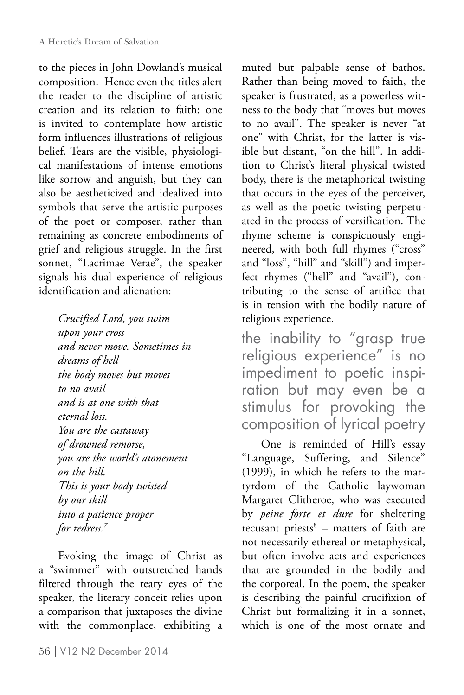to the pieces in John Dowland's musical composition. Hence even the titles alert the reader to the discipline of artistic creation and its relation to faith; one is invited to contemplate how artistic form influences illustrations of religious belief. Tears are the visible, physiological manifestations of intense emotions like sorrow and anguish, but they can also be aestheticized and idealized into symbols that serve the artistic purposes of the poet or composer, rather than remaining as concrete embodiments of grief and religious struggle. In the first sonnet, "Lacrimae Verae", the speaker signals his dual experience of religious identification and alienation:

*Crucified Lord, you swim upon your cross and never move. Sometimes in dreams of hell the body moves but moves to no avail and is at one with that eternal loss. You are the castaway of drowned remorse, you are the world's atonement on the hill. This is your body twisted by our skill into a patience proper for redress.7*

Evoking the image of Christ as a "swimmer" with outstretched hands filtered through the teary eyes of the speaker, the literary conceit relies upon a comparison that juxtaposes the divine with the commonplace, exhibiting a

muted but palpable sense of bathos. Rather than being moved to faith, the speaker is frustrated, as a powerless witness to the body that "moves but moves to no avail". The speaker is never "at one" with Christ, for the latter is visible but distant, "on the hill". In addition to Christ's literal physical twisted body, there is the metaphorical twisting that occurs in the eyes of the perceiver, as well as the poetic twisting perpetuated in the process of versification. The rhyme scheme is conspicuously engineered, with both full rhymes ("cross" and "loss", "hill" and "skill") and imperfect rhymes ("hell" and "avail"), contributing to the sense of artifice that is in tension with the bodily nature of religious experience.

the inability to "grasp true religious experience" is no impediment to poetic inspiration but may even be a stimulus for provoking the composition of lyrical poetry

One is reminded of Hill's essay "Language, Suffering, and Silence" (1999), in which he refers to the martyrdom of the Catholic laywoman Margaret Clitheroe, who was executed by *peine forte et dure* for sheltering recusant priests<sup>8</sup> – matters of faith are not necessarily ethereal or metaphysical, but often involve acts and experiences that are grounded in the bodily and the corporeal. In the poem, the speaker is describing the painful crucifixion of Christ but formalizing it in a sonnet, which is one of the most ornate and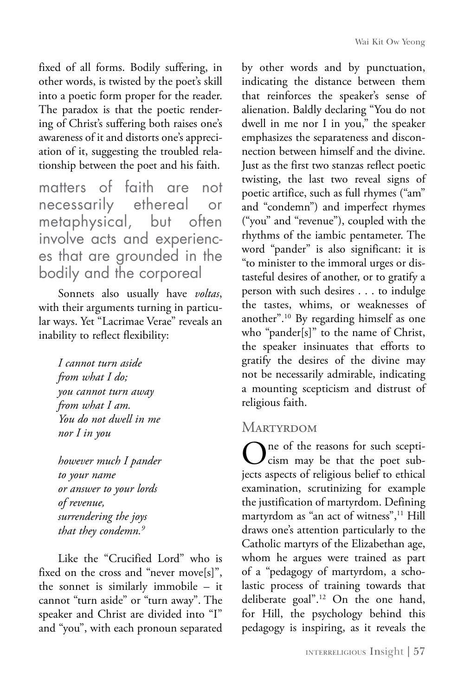fixed of all forms. Bodily suffering, in other words, is twisted by the poet's skill into a poetic form proper for the reader. The paradox is that the poetic rendering of Christ's suffering both raises one's awareness of it and distorts one's appreciation of it, suggesting the troubled relationship between the poet and his faith.

matters of faith are not necessarily ethereal or metaphysical, but often involve acts and experiences that are grounded in the bodily and the corporeal

Sonnets also usually have *voltas*, with their arguments turning in particular ways. Yet "Lacrimae Verae" reveals an inability to reflect flexibility:

*I cannot turn aside from what I do; you cannot turn away from what I am. You do not dwell in me nor I in you*

*however much I pander to your name or answer to your lords of revenue, surrendering the joys that they condemn.9*

Like the "Crucified Lord" who is fixed on the cross and "never move[s]", the sonnet is similarly immobile – it cannot "turn aside" or "turn away". The speaker and Christ are divided into "I" and "you", with each pronoun separated

by other words and by punctuation, indicating the distance between them that reinforces the speaker's sense of alienation. Baldly declaring "You do not dwell in me nor I in you," the speaker emphasizes the separateness and disconnection between himself and the divine. Just as the first two stanzas reflect poetic twisting, the last two reveal signs of poetic artifice, such as full rhymes ("am" and "condemn") and imperfect rhymes ("you" and "revenue"), coupled with the rhythms of the iambic pentameter. The word "pander" is also significant: it is "to minister to the immoral urges or distasteful desires of another, or to gratify a person with such desires . . . to indulge the tastes, whims, or weaknesses of another".10 By regarding himself as one who "pander[s]" to the name of Christ, the speaker insinuates that efforts to gratify the desires of the divine may not be necessarily admirable, indicating a mounting scepticism and distrust of religious faith.

## **MARTYRDOM**

One of the reasons for such scepti-<br>Cism may be that the poet subjects aspects of religious belief to ethical examination, scrutinizing for example the justification of martyrdom. Defining martyrdom as "an act of witness",<sup>11</sup> Hill draws one's attention particularly to the Catholic martyrs of the Elizabethan age, whom he argues were trained as part of a "pedagogy of martyrdom, a scholastic process of training towards that deliberate goal".12 On the one hand, for Hill, the psychology behind this pedagogy is inspiring, as it reveals the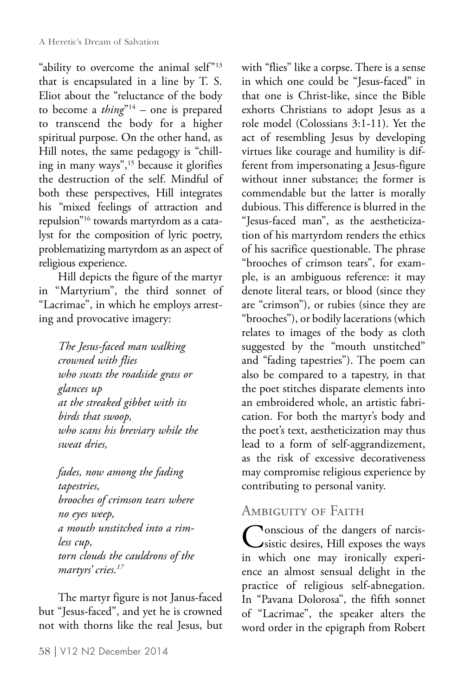"ability to overcome the animal self"<sup>13</sup> that is encapsulated in a line by T. S. Eliot about the "reluctance of the body to become a *thing*"14 – one is prepared to transcend the body for a higher spiritual purpose. On the other hand, as Hill notes, the same pedagogy is "chilling in many ways",<sup>15</sup> because it glorifies the destruction of the self. Mindful of both these perspectives, Hill integrates his "mixed feelings of attraction and repulsion"16 towards martyrdom as a catalyst for the composition of lyric poetry, problematizing martyrdom as an aspect of religious experience.

Hill depicts the figure of the martyr in "Martyrium", the third sonnet of "Lacrimae", in which he employs arresting and provocative imagery:

*The Jesus-faced man walking crowned with flies who swats the roadside grass or glances up at the streaked gibbet with its birds that swoop, who scans his breviary while the sweat dries,*

*fades, now among the fading tapestries, brooches of crimson tears where no eyes weep, a mouth unstitched into a rimless cup, torn clouds the cauldrons of the martyrs' cries.17*

The martyr figure is not Janus-faced but "Jesus-faced", and yet he is crowned not with thorns like the real Jesus, but with "flies" like a corpse. There is a sense in which one could be "Jesus-faced" in that one is Christ-like, since the Bible exhorts Christians to adopt Jesus as a role model (Colossians 3:1-11). Yet the act of resembling Jesus by developing virtues like courage and humility is different from impersonating a Jesus-figure without inner substance; the former is commendable but the latter is morally dubious. This difference is blurred in the "Jesus-faced man", as the aestheticization of his martyrdom renders the ethics of his sacrifice questionable. The phrase "brooches of crimson tears", for example, is an ambiguous reference: it may denote literal tears, or blood (since they are "crimson"), or rubies (since they are "brooches"), or bodily lacerations (which relates to images of the body as cloth suggested by the "mouth unstitched" and "fading tapestries"). The poem can also be compared to a tapestry, in that the poet stitches disparate elements into an embroidered whole, an artistic fabrication. For both the martyr's body and the poet's text, aestheticization may thus lead to a form of self-aggrandizement, as the risk of excessive decorativeness may compromise religious experience by contributing to personal vanity.

# Ambiguity of Faith

Conscious of the dangers of narcis-<br>sistic desires, Hill exposes the ways in which one may ironically experience an almost sensual delight in the practice of religious self-abnegation. In "Pavana Dolorosa", the fifth sonnet of "Lacrimae", the speaker alters the word order in the epigraph from Robert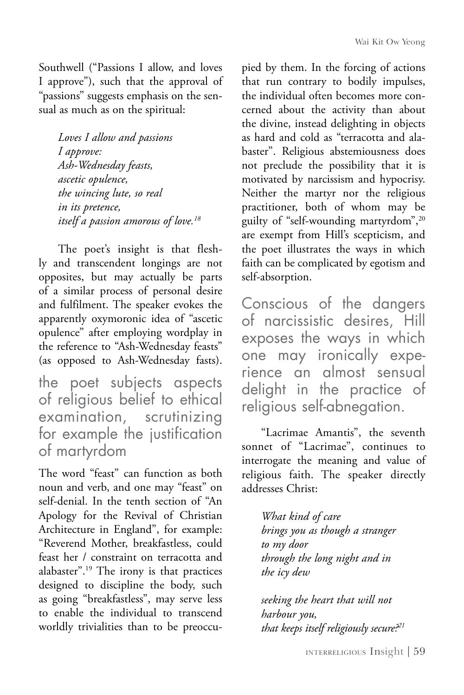Southwell ("Passions I allow, and loves I approve"), such that the approval of "passions" suggests emphasis on the sensual as much as on the spiritual:

*Loves I allow and passions I approve: Ash-Wednesday feasts, ascetic opulence, the wincing lute, so real in its pretence, itself a passion amorous of love.18*

The poet's insight is that fleshly and transcendent longings are not opposites, but may actually be parts of a similar process of personal desire and fulfilment. The speaker evokes the apparently oxymoronic idea of "ascetic opulence" after employing wordplay in the reference to "Ash-Wednesday feasts" (as opposed to Ash-Wednesday fasts).

the poet subjects aspects of religious belief to ethical examination, scrutinizing for example the justification of martyrdom

The word "feast" can function as both noun and verb, and one may "feast" on self-denial. In the tenth section of "An Apology for the Revival of Christian Architecture in England", for example: "Reverend Mother, breakfastless, could feast her / constraint on terracotta and alabaster".19 The irony is that practices designed to discipline the body, such as going "breakfastless", may serve less to enable the individual to transcend worldly trivialities than to be preoccupied by them. In the forcing of actions that run contrary to bodily impulses, the individual often becomes more concerned about the activity than about the divine, instead delighting in objects as hard and cold as "terracotta and alabaster". Religious abstemiousness does not preclude the possibility that it is motivated by narcissism and hypocrisy. Neither the martyr nor the religious practitioner, both of whom may be guilty of "self-wounding martyrdom",<sup>20</sup> are exempt from Hill's scepticism, and the poet illustrates the ways in which faith can be complicated by egotism and self-absorption.

Conscious of the dangers of narcissistic desires, Hill exposes the ways in which one may ironically experience an almost sensual delight in the practice of religious self-abnegation.

"Lacrimae Amantis", the seventh sonnet of "Lacrimae", continues to interrogate the meaning and value of religious faith. The speaker directly addresses Christ:

> *What kind of care brings you as though a stranger to my door through the long night and in the icy dew*

*seeking the heart that will not harbour you, that keeps itself religiously secure?21*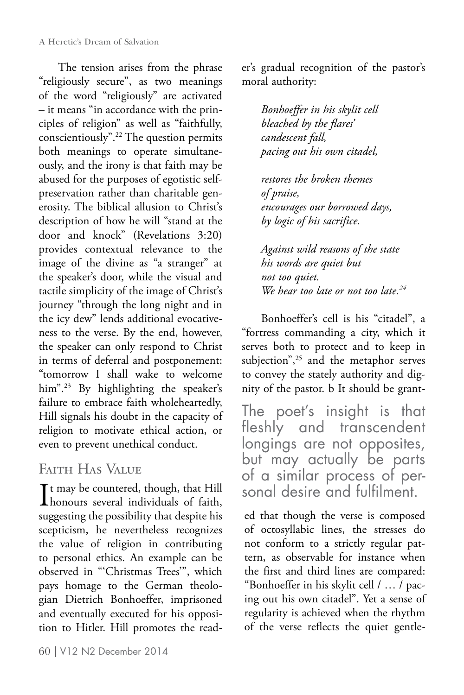The tension arises from the phrase "religiously secure", as two meanings of the word "religiously" are activated – it means "in accordance with the principles of religion" as well as "faithfully, conscientiously".22 The question permits both meanings to operate simultaneously, and the irony is that faith may be abused for the purposes of egotistic selfpreservation rather than charitable generosity. The biblical allusion to Christ's description of how he will "stand at the door and knock" (Revelations 3:20) provides contextual relevance to the image of the divine as "a stranger" at the speaker's door, while the visual and tactile simplicity of the image of Christ's journey "through the long night and in the icy dew" lends additional evocativeness to the verse. By the end, however, the speaker can only respond to Christ in terms of deferral and postponement: "tomorrow I shall wake to welcome him".<sup>23</sup> By highlighting the speaker's failure to embrace faith wholeheartedly, Hill signals his doubt in the capacity of religion to motivate ethical action, or even to prevent unethical conduct.

# Faith Has Value

It may be countered, though, that Hill<br>honours several individuals of faith, Tt may be countered, though, that Hill suggesting the possibility that despite his scepticism, he nevertheless recognizes the value of religion in contributing to personal ethics. An example can be observed in "'Christmas Trees'", which pays homage to the German theologian Dietrich Bonhoeffer, imprisoned and eventually executed for his opposition to Hitler. Hill promotes the reader's gradual recognition of the pastor's moral authority:

> *Bonhoeffer in his skylit cell bleached by the flares' candescent fall, pacing out his own citadel,*

*restores the broken themes of praise, encourages our borrowed days, by logic of his sacrifice.*

*Against wild reasons of the state his words are quiet but not too quiet. We hear too late or not too late.24*

Bonhoeffer's cell is his "citadel", a "fortress commanding a city, which it serves both to protect and to keep in subjection",<sup>25</sup> and the metaphor serves to convey the stately authority and dignity of the pastor. b It should be grant-

The poet's insight is that fleshly and transcendent longings are not opposites, but may actually be parts of a similar process of personal desire and fulfilment.

ed that though the verse is composed of octosyllabic lines, the stresses do not conform to a strictly regular pattern, as observable for instance when the first and third lines are compared: "Bonhoeffer in his skylit cell / … / pacing out his own citadel". Yet a sense of regularity is achieved when the rhythm of the verse reflects the quiet gentle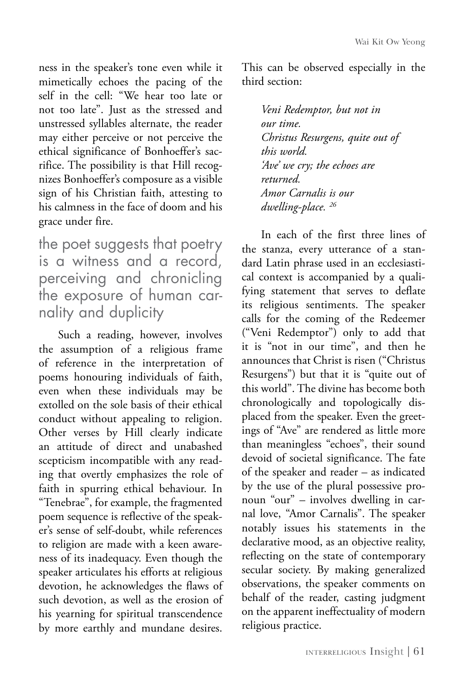ness in the speaker's tone even while it mimetically echoes the pacing of the self in the cell: "We hear too late or not too late". Just as the stressed and unstressed syllables alternate, the reader may either perceive or not perceive the ethical significance of Bonhoeffer's sacrifice. The possibility is that Hill recognizes Bonhoeffer's composure as a visible sign of his Christian faith, attesting to his calmness in the face of doom and his grace under fire.

the poet suggests that poetry is a witness and a record, perceiving and chronicling the exposure of human carnality and duplicity

Such a reading, however, involves the assumption of a religious frame of reference in the interpretation of poems honouring individuals of faith, even when these individuals may be extolled on the sole basis of their ethical conduct without appealing to religion. Other verses by Hill clearly indicate an attitude of direct and unabashed scepticism incompatible with any reading that overtly emphasizes the role of faith in spurring ethical behaviour. In "Tenebrae", for example, the fragmented poem sequence is reflective of the speaker's sense of self-doubt, while references to religion are made with a keen awareness of its inadequacy. Even though the speaker articulates his efforts at religious devotion, he acknowledges the flaws of such devotion, as well as the erosion of his yearning for spiritual transcendence by more earthly and mundane desires.

This can be observed especially in the third section:

> *Veni Redemptor, but not in our time. Christus Resurgens, quite out of this world. 'Ave' we cry; the echoes are returned. Amor Carnalis is our dwelling-place. 26*

In each of the first three lines of the stanza, every utterance of a standard Latin phrase used in an ecclesiastical context is accompanied by a qualifying statement that serves to deflate its religious sentiments. The speaker calls for the coming of the Redeemer ("Veni Redemptor") only to add that it is "not in our time", and then he announces that Christ is risen ("Christus Resurgens") but that it is "quite out of this world". The divine has become both chronologically and topologically displaced from the speaker. Even the greetings of "Ave" are rendered as little more than meaningless "echoes", their sound devoid of societal significance. The fate of the speaker and reader – as indicated by the use of the plural possessive pronoun "our" – involves dwelling in carnal love, "Amor Carnalis". The speaker notably issues his statements in the declarative mood, as an objective reality, reflecting on the state of contemporary secular society. By making generalized observations, the speaker comments on behalf of the reader, casting judgment on the apparent ineffectuality of modern religious practice.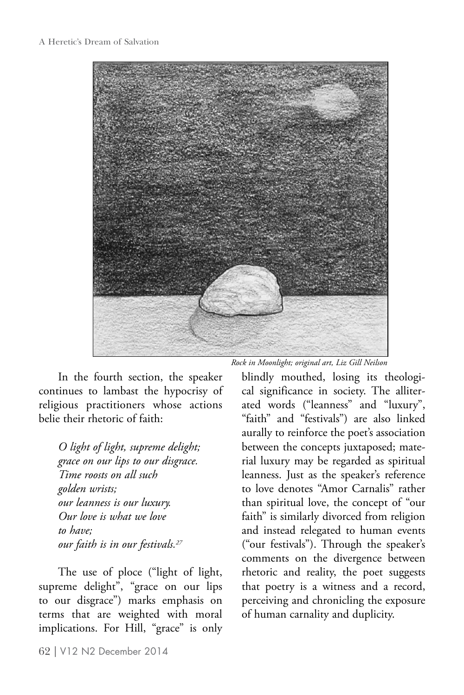

In the fourth section, the speaker continues to lambast the hypocrisy of religious practitioners whose actions belie their rhetoric of faith:

*O light of light, supreme delight; grace on our lips to our disgrace. Time roosts on all such golden wrists; our leanness is our luxury. Our love is what we love to have; our faith is in our festivals.27*

The use of ploce ("light of light, supreme delight", "grace on our lips to our disgrace") marks emphasis on terms that are weighted with moral implications. For Hill, "grace" is only *Rock in Moonlight; original art, Liz Gill Neilson*

blindly mouthed, losing its theological significance in society. The alliterated words ("leanness" and "luxury", "faith" and "festivals") are also linked aurally to reinforce the poet's association between the concepts juxtaposed; material luxury may be regarded as spiritual leanness. Just as the speaker's reference to love denotes "Amor Carnalis" rather than spiritual love, the concept of "our faith" is similarly divorced from religion and instead relegated to human events ("our festivals"). Through the speaker's comments on the divergence between rhetoric and reality, the poet suggests that poetry is a witness and a record, perceiving and chronicling the exposure of human carnality and duplicity.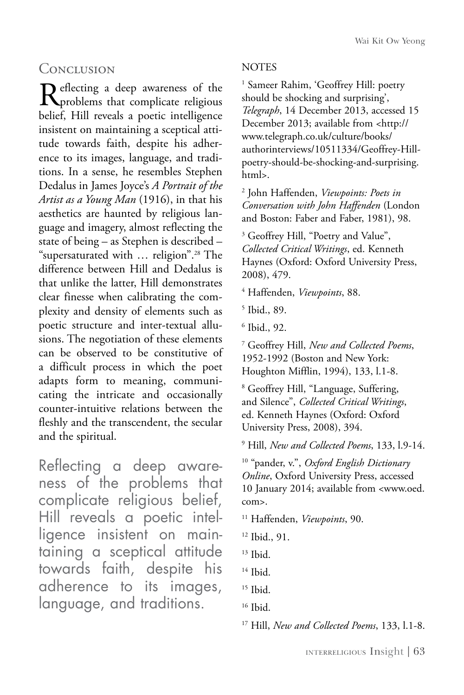### **CONCLUSION**

Reflecting a deep awareness of the problems that complicate religious belief, Hill reveals a poetic intelligence insistent on maintaining a sceptical attitude towards faith, despite his adherence to its images, language, and traditions. In a sense, he resembles Stephen Dedalus in James Joyce's *A Portrait of the Artist as a Young Man* (1916), in that his aesthetics are haunted by religious language and imagery, almost reflecting the state of being – as Stephen is described – "supersaturated with … religion".28 The difference between Hill and Dedalus is that unlike the latter, Hill demonstrates clear finesse when calibrating the complexity and density of elements such as poetic structure and inter-textual allusions. The negotiation of these elements can be observed to be constitutive of a difficult process in which the poet adapts form to meaning, communicating the intricate and occasionally counter-intuitive relations between the fleshly and the transcendent, the secular and the spiritual.

Reflecting a deep awareness of the problems that complicate religious belief, Hill reveals a poetic intelligence insistent on maintaining a sceptical attitude towards faith, despite his adherence to its images, language, and traditions.

#### NOTES

1 Sameer Rahim, 'Geoffrey Hill: poetry should be shocking and surprising', *Telegraph*, 14 December 2013, accessed 15 December 2013; available from <http:// www.telegraph.co.uk/culture/books/ authorinterviews/10511334/Geoffrey-Hillpoetry-should-be-shocking-and-surprising. html>.

2 John Haffenden, *Viewpoints: Poets in Conversation with John Haffenden* (London and Boston: Faber and Faber, 1981), 98.

<sup>3</sup> Geoffrey Hill, "Poetry and Value", *Collected Critical Writings*, ed. Kenneth Haynes (Oxford: Oxford University Press, 2008), 479.

4 Haffenden, *Viewpoints*, 88.

5 Ibid., 89.

6 Ibid., 92.

7 Geoffrey Hill, *New and Collected Poems*, 1952-1992 (Boston and New York: Houghton Mifflin, 1994), 133, l.1-8.

8 Geoffrey Hill, "Language, Suffering, and Silence", *Collected Critical Writings*, ed. Kenneth Haynes (Oxford: Oxford University Press, 2008), 394.

9 Hill, *New and Collected Poems*, 133, l.9-14.

10 "pander, v.", *Oxford English Dictionary Online*, Oxford University Press, accessed 10 January 2014; available from <www.oed. com>.

11 Haffenden, *Viewpoints*, 90.

12 Ibid., 91.

13 Ibid.

 $14$  Ibid.

17 Hill, *New and Collected Poems*, 133, l.1-8.

<sup>&</sup>lt;sup>15</sup> Ibid.

<sup>16</sup> Ibid.